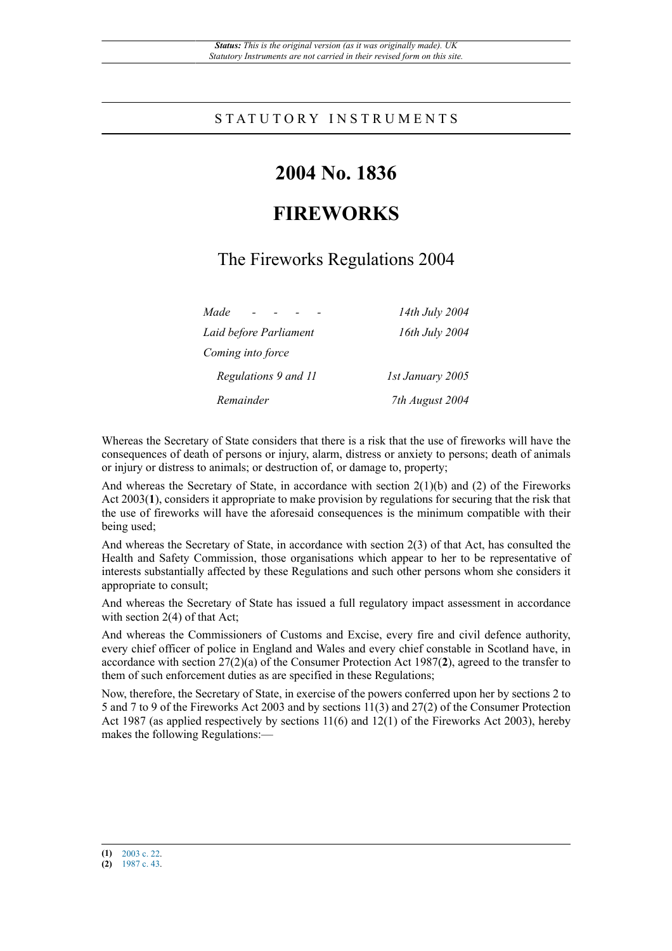# STATUTORY INSTRUMENTS

# **2004 No. 1836**

# **FIREWORKS**

# The Fireworks Regulations 2004

| Made                   | 14th July 2004   |
|------------------------|------------------|
| Laid before Parliament | 16th July 2004   |
| Coming into force      |                  |
| Regulations 9 and 11   | 1st January 2005 |
| Remainder              | 7th August 2004  |

Whereas the Secretary of State considers that there is a risk that the use of fireworks will have the consequences of death of persons or injury, alarm, distress or anxiety to persons; death of animals or injury or distress to animals; or destruction of, or damage to, property;

And whereas the Secretary of State, in accordance with section 2(1)(b) and (2) of the Fireworks Act 2003(**1**), considers it appropriate to make provision by regulations for securing that the risk that the use of fireworks will have the aforesaid consequences is the minimum compatible with their being used;

And whereas the Secretary of State, in accordance with section 2(3) of that Act, has consulted the Health and Safety Commission, those organisations which appear to her to be representative of interests substantially affected by these Regulations and such other persons whom she considers it appropriate to consult;

And whereas the Secretary of State has issued a full regulatory impact assessment in accordance with section 2(4) of that Act;

And whereas the Commissioners of Customs and Excise, every fire and civil defence authority, every chief officer of police in England and Wales and every chief constable in Scotland have, in accordance with section 27(2)(a) of the Consumer Protection Act 1987(**2**), agreed to the transfer to them of such enforcement duties as are specified in these Regulations;

Now, therefore, the Secretary of State, in exercise of the powers conferred upon her by sections 2 to 5 and 7 to 9 of the Fireworks Act 2003 and by sections 11(3) and 27(2) of the Consumer Protection Act 1987 (as applied respectively by sections 11(6) and 12(1) of the Fireworks Act 2003), hereby makes the following Regulations:—

**<sup>(1)</sup>** [2003 c. 22.](http://www.legislation.gov.uk/id/ukpga/2003/22)

**<sup>(2)</sup>** [1987 c. 43.](http://www.legislation.gov.uk/id/ukpga/1987/43)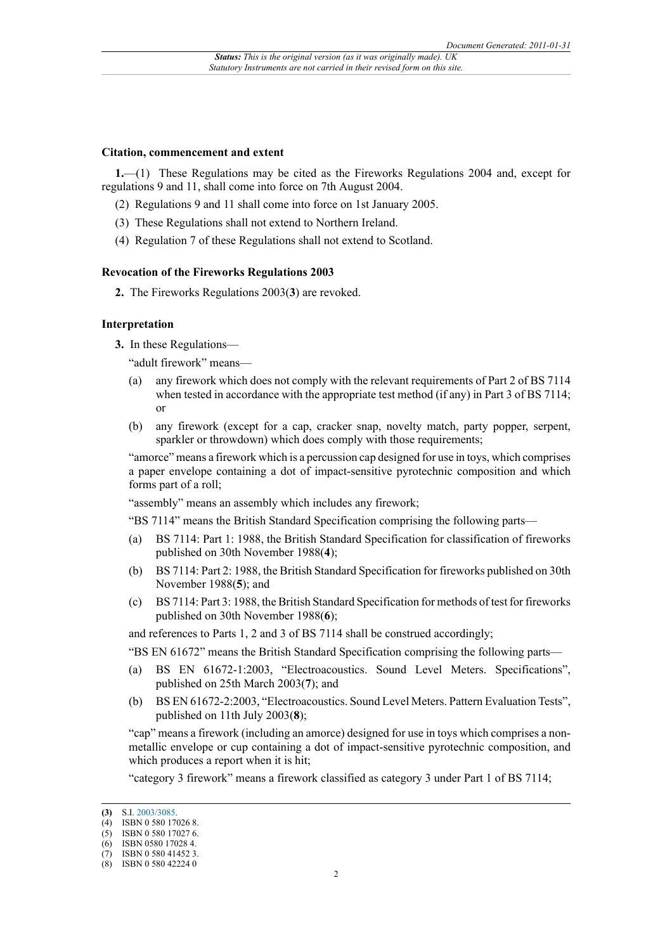#### **Citation, commencement and extent**

**1.**—(1) These Regulations may be cited as the Fireworks Regulations 2004 and, except for regulations 9 and 11, shall come into force on 7th August 2004.

- (2) Regulations 9 and 11 shall come into force on 1st January 2005.
- (3) These Regulations shall not extend to Northern Ireland.
- (4) Regulation 7 of these Regulations shall not extend to Scotland.

#### **Revocation of the Fireworks Regulations 2003**

**2.** The Fireworks Regulations 2003(**3**) are revoked.

#### **Interpretation**

**3.** In these Regulations—

"adult firework" means—

- (a) any firework which does not comply with the relevant requirements of Part 2 of BS 7114 when tested in accordance with the appropriate test method (if any) in Part 3 of BS 7114; or
- (b) any firework (except for a cap, cracker snap, novelty match, party popper, serpent, sparkler or throwdown) which does comply with those requirements;

"amorce" means a firework which is a percussion cap designed for use in toys, which comprises a paper envelope containing a dot of impact-sensitive pyrotechnic composition and which forms part of a roll;

"assembly" means an assembly which includes any firework;

"BS 7114" means the British Standard Specification comprising the following parts—

- (a) BS 7114: Part 1: 1988, the British Standard Specification for classification of fireworks published on 30th November 1988(**4**);
- (b) BS 7114: Part 2: 1988, the British Standard Specification for fireworks published on 30th November 1988(**5**); and
- (c) BS 7114: Part 3: 1988, the British Standard Specification for methods of test for fireworks published on 30th November 1988(**6**);

and references to Parts 1, 2 and 3 of BS 7114 shall be construed accordingly;

"BS EN 61672" means the British Standard Specification comprising the following parts—

- (a) BS EN 61672-1:2003, "Electroacoustics. Sound Level Meters. Specifications", published on 25th March 2003(**7**); and
- (b) BS EN 61672-2:2003, "Electroacoustics. Sound Level Meters. Pattern Evaluation Tests", published on 11th July 2003(**8**);

"cap" means a firework (including an amorce) designed for use in toys which comprises a nonmetallic envelope or cup containing a dot of impact-sensitive pyrotechnic composition, and which produces a report when it is hit;

"category 3 firework" means a firework classified as category 3 under Part 1 of BS 7114;

**<sup>(3)</sup>** S.I. [2003/3085](http://www.legislation.gov.uk/id/uksi/2003/3085).

<sup>(4)</sup> ISBN 0 580 17026 8.

<sup>(5)</sup> ISBN 0 580 17027 6.

<sup>(6)</sup> ISBN 0580 17028 4.

<sup>(7)</sup> ISBN 0 580 41452 3.

<sup>(8)</sup> ISBN 0 580 42224 0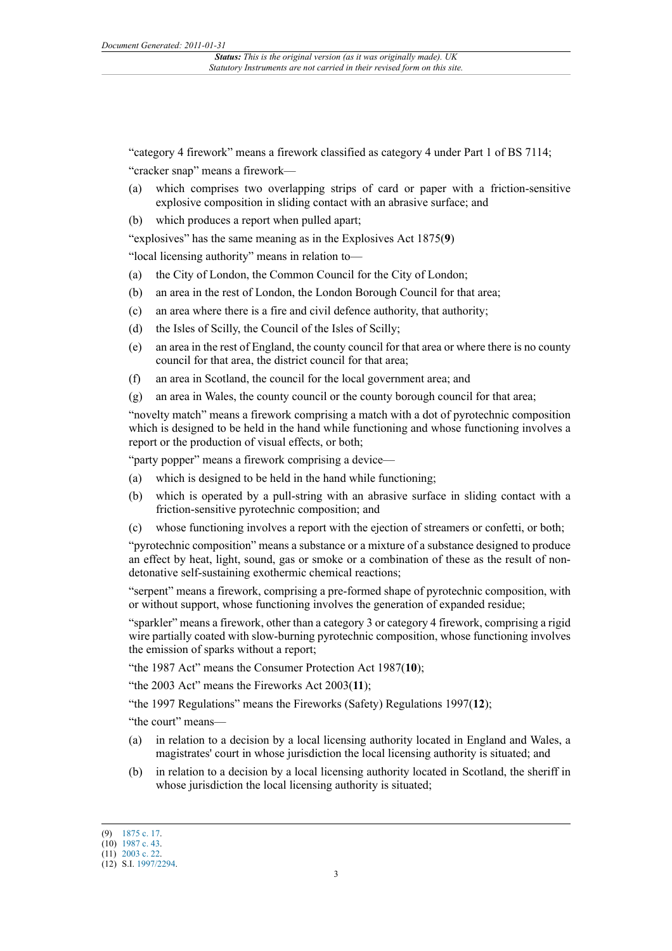"category 4 firework" means a firework classified as category 4 under Part 1 of BS 7114; "cracker snap" means a firework—

- (a) which comprises two overlapping strips of card or paper with a friction-sensitive explosive composition in sliding contact with an abrasive surface; and
- (b) which produces a report when pulled apart;

"explosives" has the same meaning as in the Explosives Act 1875(**9**)

"local licensing authority" means in relation to—

- (a) the City of London, the Common Council for the City of London;
- (b) an area in the rest of London, the London Borough Council for that area;
- (c) an area where there is a fire and civil defence authority, that authority;
- (d) the Isles of Scilly, the Council of the Isles of Scilly;
- (e) an area in the rest of England, the county council for that area or where there is no county council for that area, the district council for that area;
- (f) an area in Scotland, the council for the local government area; and
- (g) an area in Wales, the county council or the county borough council for that area;

"novelty match" means a firework comprising a match with a dot of pyrotechnic composition which is designed to be held in the hand while functioning and whose functioning involves a report or the production of visual effects, or both;

"party popper" means a firework comprising a device—

- (a) which is designed to be held in the hand while functioning;
- (b) which is operated by a pull-string with an abrasive surface in sliding contact with a friction-sensitive pyrotechnic composition; and
- (c) whose functioning involves a report with the ejection of streamers or confetti, or both;

"pyrotechnic composition" means a substance or a mixture of a substance designed to produce an effect by heat, light, sound, gas or smoke or a combination of these as the result of nondetonative self-sustaining exothermic chemical reactions;

"serpent" means a firework, comprising a pre-formed shape of pyrotechnic composition, with or without support, whose functioning involves the generation of expanded residue;

"sparkler" means a firework, other than a category 3 or category 4 firework, comprising a rigid wire partially coated with slow-burning pyrotechnic composition, whose functioning involves the emission of sparks without a report;

"the 1987 Act" means the Consumer Protection Act 1987(**10**);

"the 2003 Act" means the Fireworks Act 2003(**11**);

"the 1997 Regulations" means the Fireworks (Safety) Regulations 1997(**12**);

"the court" means—

- (a) in relation to a decision by a local licensing authority located in England and Wales, a magistrates' court in whose jurisdiction the local licensing authority is situated; and
- (b) in relation to a decision by a local licensing authority located in Scotland, the sheriff in whose jurisdiction the local licensing authority is situated;

<sup>(9)</sup> [1875 c. 17.](http://www.legislation.gov.uk/id/ukpga/1875/17)

<sup>(10)</sup> [1987 c. 43.](http://www.legislation.gov.uk/id/ukpga/1987/43)

 $(11)$  [2003 c. 22.](http://www.legislation.gov.uk/id/ukpga/2003/22)

<sup>(12)</sup> S.I. [1997/2294](http://www.legislation.gov.uk/id/uksi/1997/2294).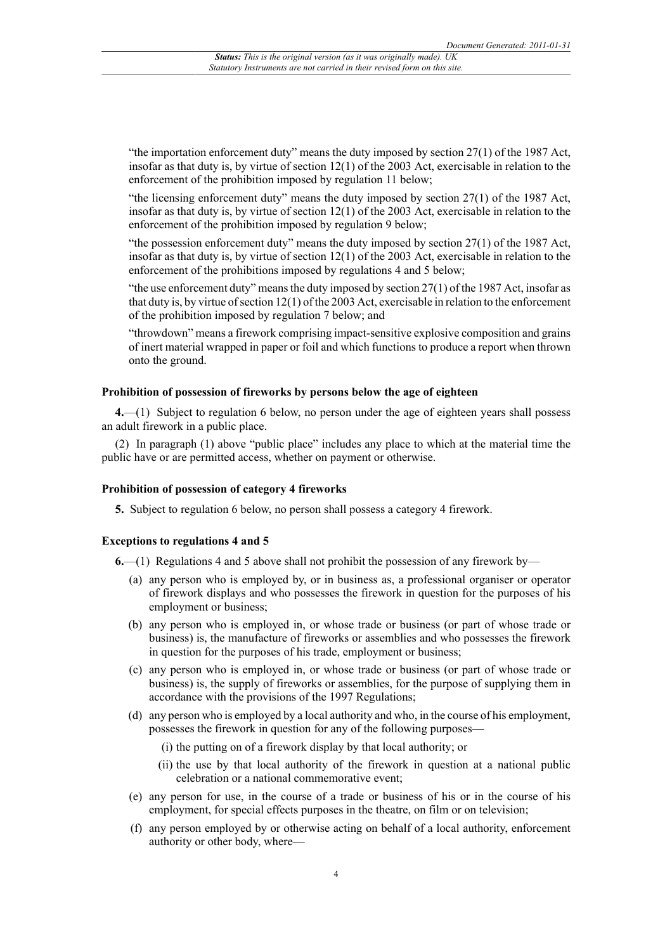"the importation enforcement duty" means the duty imposed by section 27(1) of the 1987 Act, insofar as that duty is, by virtue of section 12(1) of the 2003 Act, exercisable in relation to the enforcement of the prohibition imposed by regulation 11 below;

"the licensing enforcement duty" means the duty imposed by section 27(1) of the 1987 Act, insofar as that duty is, by virtue of section  $12(1)$  of the 2003 Act, exercisable in relation to the enforcement of the prohibition imposed by regulation 9 below;

"the possession enforcement duty" means the duty imposed by section 27(1) of the 1987 Act, insofar as that duty is, by virtue of section  $12(1)$  of the 2003 Act, exercisable in relation to the enforcement of the prohibitions imposed by regulations 4 and 5 below;

"the use enforcement duty" means the duty imposed by section  $27(1)$  of the 1987 Act, insofar as that duty is, by virtue of section 12(1) of the 2003 Act, exercisable in relation to the enforcement of the prohibition imposed by regulation 7 below; and

"throwdown" means a firework comprising impact-sensitive explosive composition and grains of inert material wrapped in paper or foil and which functions to produce a report when thrown onto the ground.

# **Prohibition of possession of fireworks by persons below the age of eighteen**

**4.**—(1) Subject to regulation 6 below, no person under the age of eighteen years shall possess an adult firework in a public place.

(2) In paragraph (1) above "public place" includes any place to which at the material time the public have or are permitted access, whether on payment or otherwise.

### **Prohibition of possession of category 4 fireworks**

**5.** Subject to regulation 6 below, no person shall possess a category 4 firework.

#### **Exceptions to regulations 4 and 5**

**6.**—(1) Regulations 4 and 5 above shall not prohibit the possession of any firework by—

- (a) any person who is employed by, or in business as, a professional organiser or operator of firework displays and who possesses the firework in question for the purposes of his employment or business;
- (b) any person who is employed in, or whose trade or business (or part of whose trade or business) is, the manufacture of fireworks or assemblies and who possesses the firework in question for the purposes of his trade, employment or business;
- (c) any person who is employed in, or whose trade or business (or part of whose trade or business) is, the supply of fireworks or assemblies, for the purpose of supplying them in accordance with the provisions of the 1997 Regulations;
- (d) any person who is employed by a local authority and who, in the course of his employment, possesses the firework in question for any of the following purposes—
	- (i) the putting on of a firework display by that local authority; or
	- (ii) the use by that local authority of the firework in question at a national public celebration or a national commemorative event;
- (e) any person for use, in the course of a trade or business of his or in the course of his employment, for special effects purposes in the theatre, on film or on television;
- (f) any person employed by or otherwise acting on behalf of a local authority, enforcement authority or other body, where—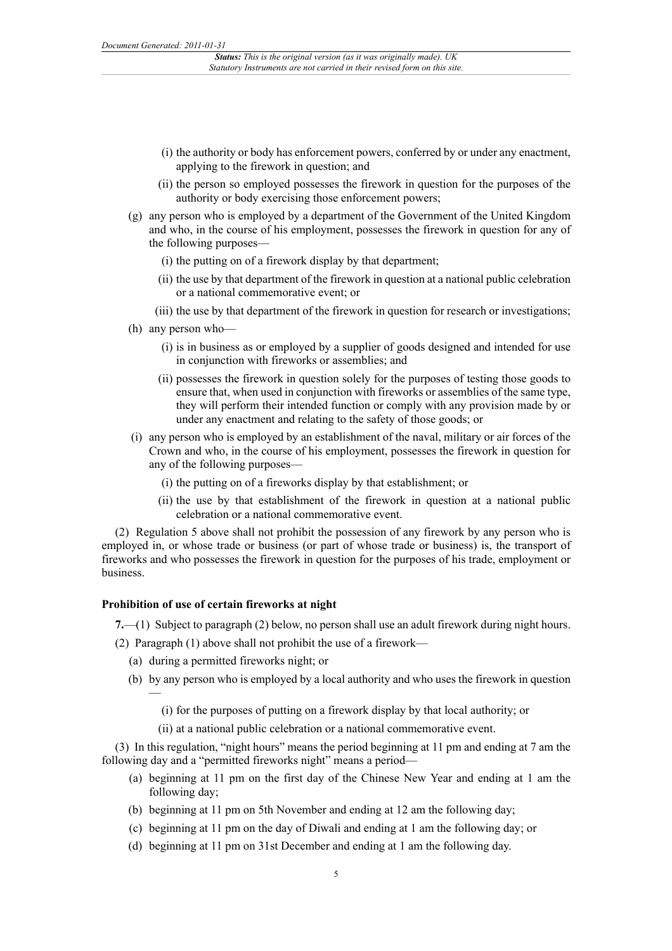- (i) the authority or body has enforcement powers, conferred by or under any enactment, applying to the firework in question; and
- (ii) the person so employed possesses the firework in question for the purposes of the authority or body exercising those enforcement powers;
- (g) any person who is employed by a department of the Government of the United Kingdom and who, in the course of his employment, possesses the firework in question for any of the following purposes—
	- (i) the putting on of a firework display by that department;
	- (ii) the use by that department of the firework in question at a national public celebration or a national commemorative event; or
	- (iii) the use by that department of the firework in question for research or investigations;
- (h) any person who—
	- (i) is in business as or employed by a supplier of goods designed and intended for use in conjunction with fireworks or assemblies; and
	- (ii) possesses the firework in question solely for the purposes of testing those goods to ensure that, when used in conjunction with fireworks or assemblies of the same type, they will perform their intended function or comply with any provision made by or under any enactment and relating to the safety of those goods; or
- (i) any person who is employed by an establishment of the naval, military or air forces of the Crown and who, in the course of his employment, possesses the firework in question for any of the following purposes—
	- (i) the putting on of a fireworks display by that establishment; or
	- (ii) the use by that establishment of the firework in question at a national public celebration or a national commemorative event.

(2) Regulation 5 above shall not prohibit the possession of any firework by any person who is employed in, or whose trade or business (or part of whose trade or business) is, the transport of fireworks and who possesses the firework in question for the purposes of his trade, employment or business.

### **Prohibition of use of certain fireworks at night**

**7.**—(1) Subject to paragraph (2) below, no person shall use an adult firework during night hours.

- (2) Paragraph (1) above shall not prohibit the use of a firework—
	- (a) during a permitted fireworks night; or

—

- (b) by any person who is employed by a local authority and who uses the firework in question
	- (i) for the purposes of putting on a firework display by that local authority; or
	- (ii) at a national public celebration or a national commemorative event.

(3) In this regulation, "night hours" means the period beginning at 11 pm and ending at 7 am the following day and a "permitted fireworks night" means a period—

- (a) beginning at 11 pm on the first day of the Chinese New Year and ending at 1 am the following day;
- (b) beginning at 11 pm on 5th November and ending at 12 am the following day;
- (c) beginning at 11 pm on the day of Diwali and ending at 1 am the following day; or
- (d) beginning at 11 pm on 31st December and ending at 1 am the following day.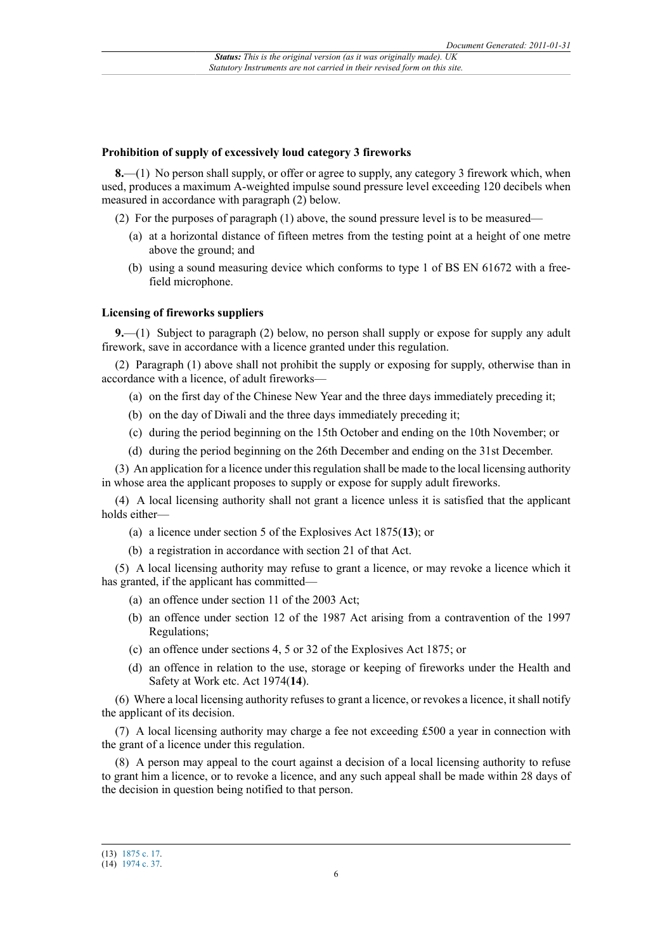#### **Prohibition of supply of excessively loud category 3 fireworks**

**8.**—(1) No person shall supply, or offer or agree to supply, any category 3 firework which, when used, produces a maximum A-weighted impulse sound pressure level exceeding 120 decibels when measured in accordance with paragraph (2) below.

- (2) For the purposes of paragraph (1) above, the sound pressure level is to be measured—
	- (a) at a horizontal distance of fifteen metres from the testing point at a height of one metre above the ground; and
	- (b) using a sound measuring device which conforms to type 1 of BS EN 61672 with a freefield microphone.

#### **Licensing of fireworks suppliers**

**9.**—(1) Subject to paragraph (2) below, no person shall supply or expose for supply any adult firework, save in accordance with a licence granted under this regulation.

(2) Paragraph (1) above shall not prohibit the supply or exposing for supply, otherwise than in accordance with a licence, of adult fireworks—

- (a) on the first day of the Chinese New Year and the three days immediately preceding it;
- (b) on the day of Diwali and the three days immediately preceding it;
- (c) during the period beginning on the 15th October and ending on the 10th November; or
- (d) during the period beginning on the 26th December and ending on the 31st December.

(3) An application for a licence under this regulation shall be made to the local licensing authority in whose area the applicant proposes to supply or expose for supply adult fireworks.

(4) A local licensing authority shall not grant a licence unless it is satisfied that the applicant holds either—

- (a) a licence under section 5 of the Explosives Act 1875(**13**); or
- (b) a registration in accordance with section 21 of that Act.

(5) A local licensing authority may refuse to grant a licence, or may revoke a licence which it has granted, if the applicant has committed—

- (a) an offence under section 11 of the 2003 Act;
- (b) an offence under section 12 of the 1987 Act arising from a contravention of the 1997 Regulations;
- (c) an offence under sections 4, 5 or 32 of the Explosives Act 1875; or
- (d) an offence in relation to the use, storage or keeping of fireworks under the Health and Safety at Work etc. Act 1974(**14**).

(6) Where a local licensing authority refuses to grant a licence, or revokes a licence, it shall notify the applicant of its decision.

(7) A local licensing authority may charge a fee not exceeding £500 a year in connection with the grant of a licence under this regulation.

(8) A person may appeal to the court against a decision of a local licensing authority to refuse to grant him a licence, or to revoke a licence, and any such appeal shall be made within 28 days of the decision in question being notified to that person.

<sup>(13)</sup> [1875 c. 17.](http://www.legislation.gov.uk/id/ukpga/1875/17)

<sup>(14)</sup> [1974 c. 37.](http://www.legislation.gov.uk/id/ukpga/1974/37)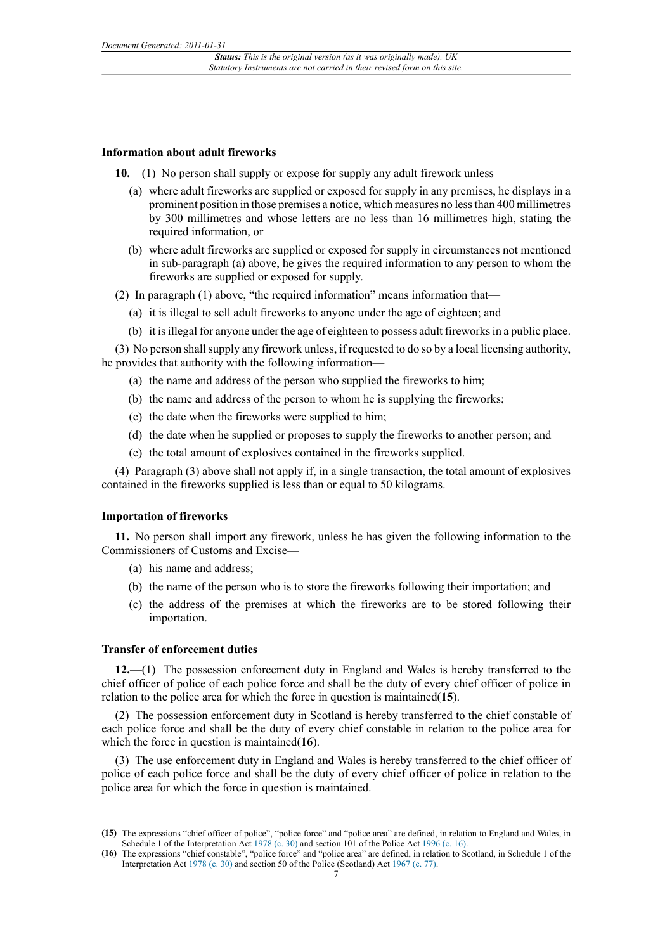#### **Information about adult fireworks**

**10.**—(1) No person shall supply or expose for supply any adult firework unless—

- (a) where adult fireworks are supplied or exposed for supply in any premises, he displays in a prominent position in those premises a notice, which measures no less than 400 millimetres by 300 millimetres and whose letters are no less than 16 millimetres high, stating the required information, or
- (b) where adult fireworks are supplied or exposed for supply in circumstances not mentioned in sub-paragraph (a) above, he gives the required information to any person to whom the fireworks are supplied or exposed for supply.
- (2) In paragraph (1) above, "the required information" means information that—
	- (a) it is illegal to sell adult fireworks to anyone under the age of eighteen; and
- (b) it is illegal for anyone under the age of eighteen to possess adult fireworks in a public place.

(3) No person shall supply any firework unless, if requested to do so by a local licensing authority, he provides that authority with the following information—

- (a) the name and address of the person who supplied the fireworks to him;
- (b) the name and address of the person to whom he is supplying the fireworks;
- (c) the date when the fireworks were supplied to him;
- (d) the date when he supplied or proposes to supply the fireworks to another person; and
- (e) the total amount of explosives contained in the fireworks supplied.

(4) Paragraph (3) above shall not apply if, in a single transaction, the total amount of explosives contained in the fireworks supplied is less than or equal to 50 kilograms.

# **Importation of fireworks**

**11.** No person shall import any firework, unless he has given the following information to the Commissioners of Customs and Excise—

- (a) his name and address;
- (b) the name of the person who is to store the fireworks following their importation; and
- (c) the address of the premises at which the fireworks are to be stored following their importation.

## **Transfer of enforcement duties**

**12.**—(1) The possession enforcement duty in England and Wales is hereby transferred to the chief officer of police of each police force and shall be the duty of every chief officer of police in relation to the police area for which the force in question is maintained(**15**).

(2) The possession enforcement duty in Scotland is hereby transferred to the chief constable of each police force and shall be the duty of every chief constable in relation to the police area for which the force in question is maintained(**16**).

(3) The use enforcement duty in England and Wales is hereby transferred to the chief officer of police of each police force and shall be the duty of every chief officer of police in relation to the police area for which the force in question is maintained.

**<sup>(15)</sup>** The expressions "chief officer of police", "police force" and "police area" are defined, in relation to England and Wales, in Schedule 1 of the Interpretation Act [1978 \(c. 30\)](http://www.legislation.gov.uk/id/ukpga/1978/30) and section 101 of the Police Act [1996 \(c. 16\).](http://www.legislation.gov.uk/id/ukpga/1996/16)

**<sup>(16)</sup>** The expressions "chief constable", "police force" and "police area" are defined, in relation to Scotland, in Schedule 1 of the Interpretation Act [1978 \(c. 30\)](http://www.legislation.gov.uk/id/ukpga/1978/30) and section 50 of the Police (Scotland) Act [1967 \(c. 77\)](http://www.legislation.gov.uk/id/ukpga/1967/77).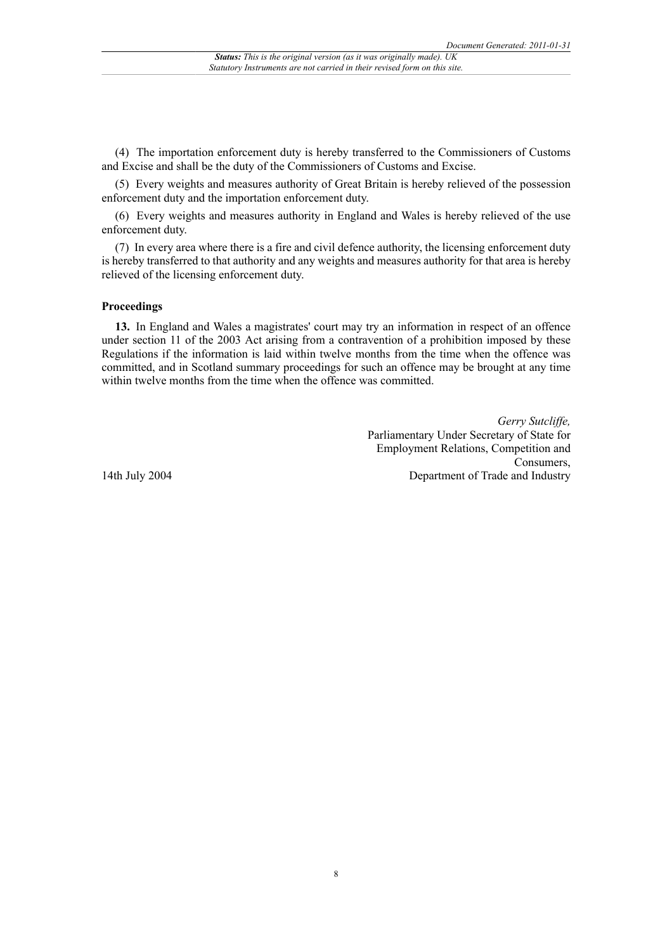(4) The importation enforcement duty is hereby transferred to the Commissioners of Customs and Excise and shall be the duty of the Commissioners of Customs and Excise.

(5) Every weights and measures authority of Great Britain is hereby relieved of the possession enforcement duty and the importation enforcement duty.

(6) Every weights and measures authority in England and Wales is hereby relieved of the use enforcement duty.

(7) In every area where there is a fire and civil defence authority, the licensing enforcement duty is hereby transferred to that authority and any weights and measures authority for that area is hereby relieved of the licensing enforcement duty.

### **Proceedings**

**13.** In England and Wales a magistrates' court may try an information in respect of an offence under section 11 of the 2003 Act arising from a contravention of a prohibition imposed by these Regulations if the information is laid within twelve months from the time when the offence was committed, and in Scotland summary proceedings for such an offence may be brought at any time within twelve months from the time when the offence was committed.

> *Gerry Sutcliffe,* Parliamentary Under Secretary of State for Employment Relations, Competition and Consumers, Department of Trade and Industry

14th July 2004

8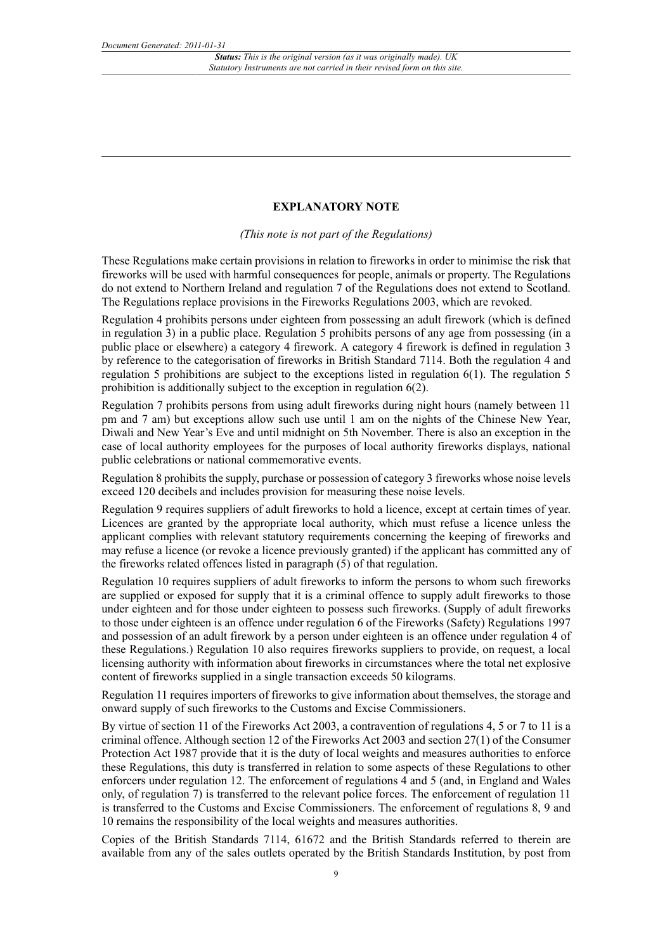# **EXPLANATORY NOTE**

*(This note is not part of the Regulations)*

These Regulations make certain provisions in relation to fireworks in order to minimise the risk that fireworks will be used with harmful consequences for people, animals or property. The Regulations do not extend to Northern Ireland and regulation 7 of the Regulations does not extend to Scotland. The Regulations replace provisions in the Fireworks Regulations 2003, which are revoked.

Regulation 4 prohibits persons under eighteen from possessing an adult firework (which is defined in regulation 3) in a public place. Regulation 5 prohibits persons of any age from possessing (in a public place or elsewhere) a category 4 firework. A category 4 firework is defined in regulation 3 by reference to the categorisation of fireworks in British Standard 7114. Both the regulation 4 and regulation 5 prohibitions are subject to the exceptions listed in regulation 6(1). The regulation 5 prohibition is additionally subject to the exception in regulation 6(2).

Regulation 7 prohibits persons from using adult fireworks during night hours (namely between 11 pm and 7 am) but exceptions allow such use until 1 am on the nights of the Chinese New Year, Diwali and New Year's Eve and until midnight on 5th November. There is also an exception in the case of local authority employees for the purposes of local authority fireworks displays, national public celebrations or national commemorative events.

Regulation 8 prohibits the supply, purchase or possession of category 3 fireworks whose noise levels exceed 120 decibels and includes provision for measuring these noise levels.

Regulation 9 requires suppliers of adult fireworks to hold a licence, except at certain times of year. Licences are granted by the appropriate local authority, which must refuse a licence unless the applicant complies with relevant statutory requirements concerning the keeping of fireworks and may refuse a licence (or revoke a licence previously granted) if the applicant has committed any of the fireworks related offences listed in paragraph (5) of that regulation.

Regulation 10 requires suppliers of adult fireworks to inform the persons to whom such fireworks are supplied or exposed for supply that it is a criminal offence to supply adult fireworks to those under eighteen and for those under eighteen to possess such fireworks. (Supply of adult fireworks to those under eighteen is an offence under regulation 6 of the Fireworks (Safety) Regulations 1997 and possession of an adult firework by a person under eighteen is an offence under regulation 4 of these Regulations.) Regulation 10 also requires fireworks suppliers to provide, on request, a local licensing authority with information about fireworks in circumstances where the total net explosive content of fireworks supplied in a single transaction exceeds 50 kilograms.

Regulation 11 requires importers of fireworks to give information about themselves, the storage and onward supply of such fireworks to the Customs and Excise Commissioners.

By virtue of section 11 of the Fireworks Act 2003, a contravention of regulations 4, 5 or 7 to 11 is a criminal offence. Although section 12 of the Fireworks Act 2003 and section 27(1) of the Consumer Protection Act 1987 provide that it is the duty of local weights and measures authorities to enforce these Regulations, this duty is transferred in relation to some aspects of these Regulations to other enforcers under regulation 12. The enforcement of regulations 4 and 5 (and, in England and Wales only, of regulation 7) is transferred to the relevant police forces. The enforcement of regulation 11 is transferred to the Customs and Excise Commissioners. The enforcement of regulations 8, 9 and 10 remains the responsibility of the local weights and measures authorities.

Copies of the British Standards 7114, 61672 and the British Standards referred to therein are available from any of the sales outlets operated by the British Standards Institution, by post from